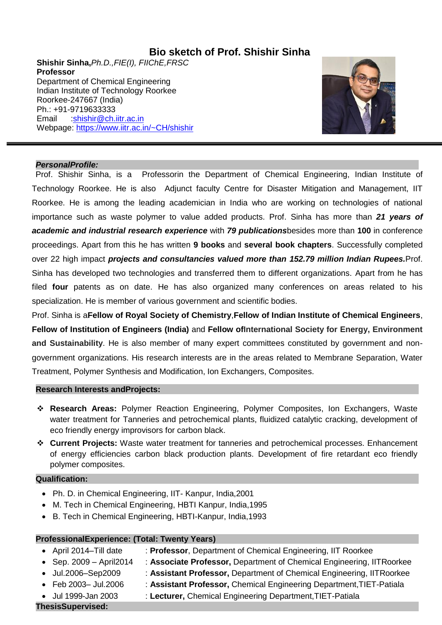## **Bio sketch of Prof. Shishir Sinha**

**Shishir Sinha,***Ph.D.,FIE(I), FIIChE,FRSC* **Professor**  Department of Chemical Engineering Indian Institute of Technology Roorkee Roorkee-247667 (India) Ph.: +91-9719633333 Email [:shishir@ch.iitr.ac.in](mailto:shishir@ch.iitr.ac.in) Webpage:<https://www.iitr.ac.in/~CH/shishir>



#### *PersonalProfile:*

Prof. Shishir Sinha, is a Professorin the Department of Chemical Engineering, Indian Institute of Technology Roorkee. He is also Adjunct faculty Centre for Disaster Mitigation and Management, IIT Roorkee. He is among the leading academician in India who are working on technologies of national importance such as waste polymer to value added products. Prof. Sinha has more than *21 years of academic and industrial research experience* with *79 publications*besides more than **100** in conference proceedings. Apart from this he has written **9 books** and **several book chapters**. Successfully completed over 22 high impact *projects and consultancies valued more than 152.79 million Indian Rupees.*Prof. Sinha has developed two technologies and transferred them to different organizations. Apart from he has filed **four** patents as on date. He has also organized many conferences on areas related to his specialization. He is member of various government and scientific bodies.

Prof. Sinha is a**Fellow of Royal Society of Chemistry**,**Fellow of Indian Institute of Chemical Engineers**, **Fellow of Institution of Engineers (India)** and **Fellow ofInternational Society for Energy, Environment and Sustainability**. He is also member of many expert committees constituted by government and nongovernment organizations. His research interests are in the areas related to Membrane Separation, Water Treatment, Polymer Synthesis and Modification, Ion Exchangers, Composites.

#### **Research Interests andProjects:**

- **Research Areas:** Polymer Reaction Engineering, Polymer Composites, Ion Exchangers, Waste water treatment for Tanneries and petrochemical plants, fluidized catalytic cracking, development of eco friendly energy improvisors for carbon black.
- **Current Projects:** Waste water treatment for tanneries and petrochemical processes. Enhancement of energy efficiencies carbon black production plants. Development of fire retardant eco friendly polymer composites.

#### **Qualification:**

- Ph. D. in Chemical Engineering, IIT- Kanpur, India,2001
- M. Tech in Chemical Engineering, HBTI Kanpur, India,1995
- B. Tech in Chemical Engineering, HBTI-Kanpur, India,1993

## **ProfessionalExperience: (Total: Twenty Years)**

- 
- April 2014–Till date : **Professor**, Department of Chemical Engineering, IIT Roorkee
- Sep. 2009 April2014 : **Associate Professor,** Department of Chemical Engineering, IITRoorkee
	- Jul.2006–Sep2009 : **Assistant Professor,** Department of Chemical Engineering, IITRoorkee
	- Feb 2003– Jul.2006 : **Assistant Professor,** Chemical Engineering Department,TIET-Patiala
	- Jul 1999-Jan 2003 : **Lecturer,** Chemical Engineering Department,TIET-Patiala

**ThesisSupervised:**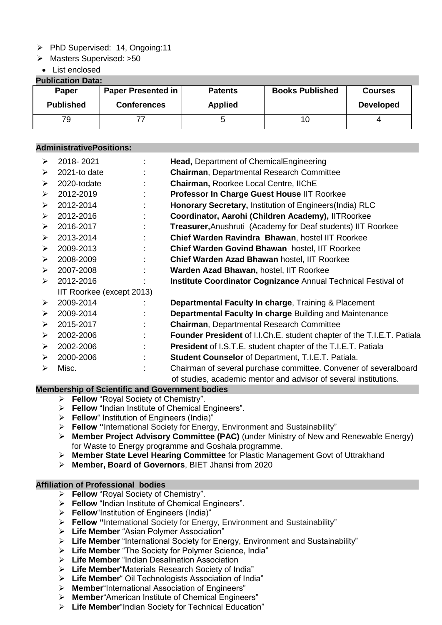- $\triangleright$  PhD Supervised: 14, Ongoing: 11
- > Masters Supervised: >50
- List enclosed

## **Publication Data:**

| Fublication Dala. |                           |                |                        |                  |  |
|-------------------|---------------------------|----------------|------------------------|------------------|--|
| Paper             | <b>Paper Presented in</b> | <b>Patents</b> | <b>Books Published</b> | <b>Courses</b>   |  |
| <b>Published</b>  | <b>Conferences</b>        | <b>Applied</b> |                        | <b>Developed</b> |  |
| 79                |                           |                | 10.                    |                  |  |

## **AdministrativePositions:**

| ➤                         | 2018-2021    |   | Head, Department of ChemicalEngineering                                |  |
|---------------------------|--------------|---|------------------------------------------------------------------------|--|
| ➤                         | 2021-to date |   | <b>Chairman, Departmental Research Committee</b>                       |  |
| ➤                         | 2020-todate  |   | Chairman, Roorkee Local Centre, IIChE                                  |  |
| $\blacktriangleright$     | 2012-2019    |   | Professor In Charge Guest House IIT Roorkee                            |  |
| ➤                         | 2012-2014    |   | Honorary Secretary, Institution of Engineers (India) RLC               |  |
| ➤                         | 2012-2016    |   | Coordinator, Aarohi (Children Academy), IITRoorkee                     |  |
| ➤                         | 2016-2017    |   | <b>Treasurer, Anushruti (Academy for Deaf students) IIT Roorkee</b>    |  |
| $\blacktriangleright$     | 2013-2014    | ÷ | Chief Warden Ravindra Bhawan, hostel IIT Roorkee                       |  |
| ➤                         | 2009-2013    |   | Chief Warden Govind Bhawan hostel, IIT Roorkee                         |  |
| ➤                         | 2008-2009    |   | Chief Warden Azad Bhawan hostel, IIT Roorkee                           |  |
| ➤                         | 2007-2008    |   | Warden Azad Bhawan, hostel, IIT Roorkee                                |  |
| $\blacktriangleright$     | 2012-2016    |   | <b>Institute Coordinator Cognizance Annual Technical Festival of</b>   |  |
| IIT Roorkee (except 2013) |              |   |                                                                        |  |
| ➤                         | 2009-2014    |   | Departmental Faculty In charge, Training & Placement                   |  |
| $\blacktriangleright$     | 2009-2014    |   | Departmental Faculty In charge Building and Maintenance                |  |
| ➤                         | 2015-2017    |   | <b>Chairman, Departmental Research Committee</b>                       |  |
| $\blacktriangleright$     | 2002-2006    | ۲ | Founder President of I.I.Ch.E. student chapter of the T.I.E.T. Patiala |  |
| ➤                         | 2002-2006    |   | <b>President</b> of I.S.T.E. student chapter of the T.I.E.T. Patiala   |  |
| ➤                         | 2000-2006    |   | <b>Student Counselor of Department, T.I.E.T. Patiala.</b>              |  |
| ➤                         | Misc.        |   | Chairman of several purchase committee. Convener of severalboard       |  |
|                           |              |   | of studies, academic mentor and advisor of several institutions.       |  |

# **Membership of Scientific and Government bodies**

- **Fellow** "Royal Society of Chemistry".
- **Fellow** "Indian Institute of Chemical Engineers".
- **Fellow**" Institution of Engineers (India)"
- **Fellow "**International Society for Energy, Environment and Sustainability"
- **Member Project Advisory Committee (PAC)** (under Ministry of New and Renewable Energy) for Waste to Energy programme and Goshala programme.
- **Member State Level Hearing Committee** for Plastic Management Govt of Uttrakhand
- **Member, Board of Governors**, BIET Jhansi from 2020

#### **Affiliation of Professional bodies**

- **Fellow** "Royal Society of Chemistry".
- **Fellow** "Indian Institute of Chemical Engineers".
- **Fellow**"Institution of Engineers (India)"
- **Fellow "**International Society for Energy, Environment and Sustainability"
- **Life Member** "Asian Polymer Association"
- **Life Member** "International Society for Energy, Environment and Sustainability"
- **Life Member** "The Society for Polymer Science, India"
- **Life Member** "Indian Desalination Association
- **Life Member**"Materials Research Society of India"
- **Life Member**" Oil Technologists Association of India"
- **Member**"International Association of Engineers"
- **Member**"American Institute of Chemical Engineers"
- **Life Member**"Indian Society for Technical Education"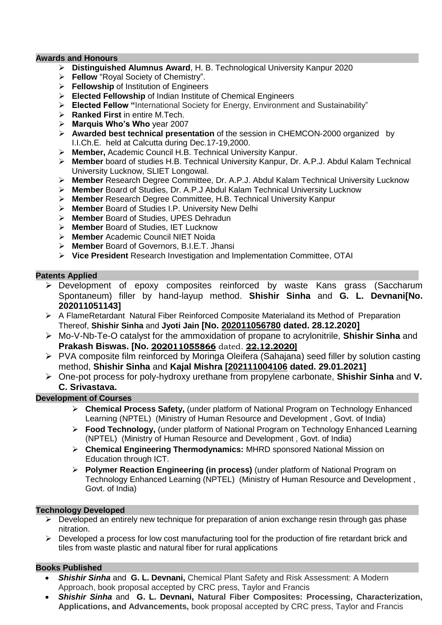#### **Awards and Honours**

- **Distinguished Alumnus Award**, H. B. Technological University Kanpur 2020
- **Fellow** "Royal Society of Chemistry".
- **Fellowship** of Institution of Engineers
- **Elected Fellowship** of Indian Institute of Chemical Engineers
- **Elected Fellow "**International Society for Energy, Environment and Sustainability"
- **Ranked First** in entire M.Tech.
- **Marquis Who's Who** year 2007
- **Awarded best technical presentation** of the session in CHEMCON-2000 organized by I.I.Ch.E. held at Calcutta during Dec.17-19,2000.
- **Member,** Academic Council H.B. Technical University Kanpur.
- **Member** board of studies H.B. Technical University Kanpur, Dr. A.P.J. Abdul Kalam Technical University Lucknow, SLIET Longowal.
- **Member** Research Degree Committee, Dr. A.P.J. Abdul Kalam Technical University Lucknow
- **Member** Board of Studies, Dr. A.P.J Abdul Kalam Technical University Lucknow
- **Member** Research Degree Committee, H.B. Technical University Kanpur
- **Member** Board of Studies I.P. University New Delhi
- **Member** Board of Studies, UPES Dehradun
- **Member** Board of Studies, IET Lucknow
- **Member** Academic Council NIET Noida
- **Member** Board of Governors, B.I.E.T. Jhansi
- **Vice President** Research Investigation and Implementation Committee, OTAI

## **Patents Applied**

- Development of epoxy composites reinforced by waste Kans grass (Saccharum Spontaneum) filler by hand-layup method. **Shishir Sinha** and **G. L. Devnani[No. 202011051143]**
- $\triangleright$  A FlameRetardant Natural Fiber Reinforced Composite Materialand its Method of Preparation Thereof, **Shishir Sinha** and **Jyoti Jain [No. 202011056780 dated. 28.12.2020]**
- Mo-V-Nb-Te-O catalyst for the ammoxidation of propane to acrylonitrile, **Shishir Sinha** and **Prakash Biswas. [No. 202011055866** dated. **22.12.2020]**
- PVA composite film reinforced by Moringa Oleifera (Sahajana) seed filler by solution casting method, **Shishir Sinha** and **Kajal Mishra [202111004106 dated. 29.01.2021]**
- One-pot process for poly-hydroxy urethane from propylene carbonate, **Shishir Sinha** and **V. C. Srivastava.**

## **Development of Courses**

- **Chemical Process Safety,** (under platform of National Program on Technology Enhanced Learning (NPTEL) (Ministry of Human Resource and Development , Govt. of India)
- **Food Technology,** (under platform of National Program on Technology Enhanced Learning (NPTEL) (Ministry of Human Resource and Development , Govt. of India)
- **Chemical Engineering Thermodynamics:** MHRD sponsored National Mission on Education through ICT.
- **Polymer Reaction Engineering (in process)** (under platform of National Program on Technology Enhanced Learning (NPTEL) (Ministry of Human Resource and Development , Govt. of India)

## **Technology Developed**

- $\triangleright$  Developed an entirely new technique for preparation of anion exchange resin through gas phase nitration.
- $\triangleright$  Developed a process for low cost manufacturing tool for the production of fire retardant brick and tiles from waste plastic and natural fiber for rural applications

## **Books Published**

- *Shishir Sinha* and **G. L. Devnani,** Chemical Plant Safety and Risk Assessment: A Modern Approach, book proposal accepted by CRC press, Taylor and Francis
- *Shishir Sinha* and **G. L. Devnani, Natural Fiber Composites: Processing, Characterization, Applications, and Advancements,** book proposal accepted by CRC press, Taylor and Francis